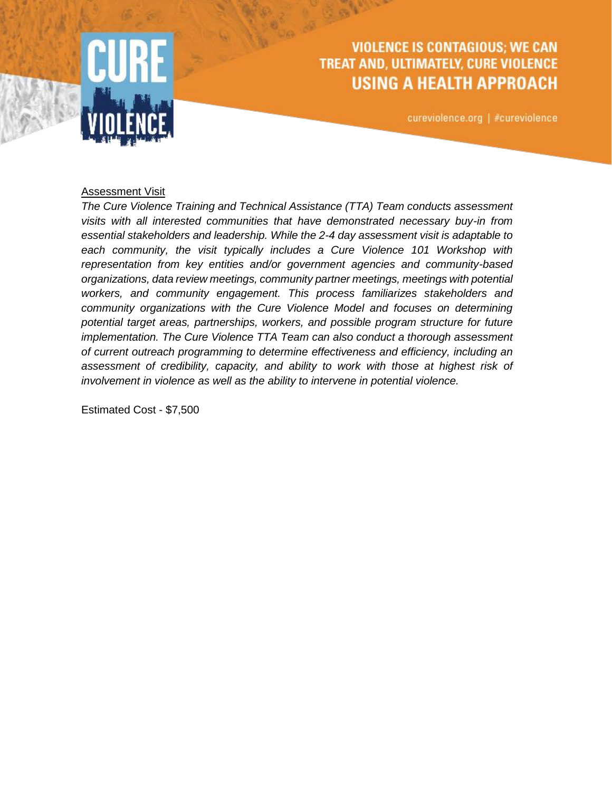

## **VIOLENCE IS CONTAGIOUS; WE CAN** TREAT AND, ULTIMATELY, CURE VIOLENCE **USING A HEALTH APPROACH**

cureviolence.org | #cureviolence

## Assessment Visit

*The Cure Violence Training and Technical Assistance (TTA) Team conducts assessment visits with all interested communities that have demonstrated necessary buy-in from essential stakeholders and leadership. While the 2-4 day assessment visit is adaptable to*  each community, the visit typically includes a Cure Violence 101 Workshop with *representation from key entities and/or government agencies and community-based organizations, data review meetings, community partner meetings, meetings with potential workers, and community engagement. This process familiarizes stakeholders and community organizations with the Cure Violence Model and focuses on determining potential target areas, partnerships, workers, and possible program structure for future implementation. The Cure Violence TTA Team can also conduct a thorough assessment of current outreach programming to determine effectiveness and efficiency, including an assessment of credibility, capacity, and ability to work with those at highest risk of involvement in violence as well as the ability to intervene in potential violence.*

Estimated Cost - \$7,500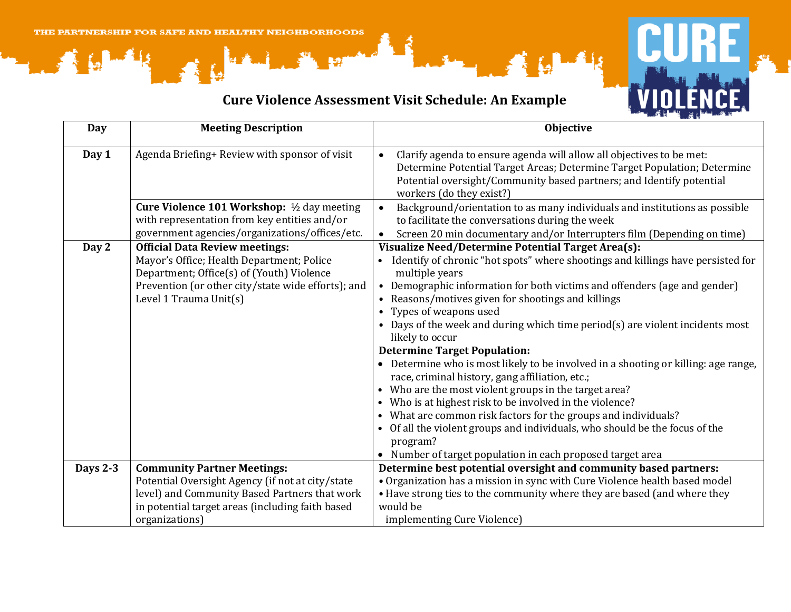## **Cure Violence Assessment Visit Schedule: An Example**



| <b>Day</b>      | <b>Meeting Description</b>                                                                                                                                                                                      | <b>Objective</b>                                                                                                                                                                                                                                                                                                                                                                                                                                                                                                                                                                                                                                                                                                                                                                                                                                                                                                                                               |
|-----------------|-----------------------------------------------------------------------------------------------------------------------------------------------------------------------------------------------------------------|----------------------------------------------------------------------------------------------------------------------------------------------------------------------------------------------------------------------------------------------------------------------------------------------------------------------------------------------------------------------------------------------------------------------------------------------------------------------------------------------------------------------------------------------------------------------------------------------------------------------------------------------------------------------------------------------------------------------------------------------------------------------------------------------------------------------------------------------------------------------------------------------------------------------------------------------------------------|
| Day 1           | Agenda Briefing+ Review with sponsor of visit                                                                                                                                                                   | Clarify agenda to ensure agenda will allow all objectives to be met:<br>$\bullet$<br>Determine Potential Target Areas; Determine Target Population; Determine<br>Potential oversight/Community based partners; and Identify potential<br>workers (do they exist?)                                                                                                                                                                                                                                                                                                                                                                                                                                                                                                                                                                                                                                                                                              |
|                 | <b>Cure Violence 101 Workshop:</b> $\frac{1}{2}$ day meeting<br>with representation from key entities and/or<br>government agencies/organizations/offices/etc.                                                  | Background/orientation to as many individuals and institutions as possible<br>to facilitate the conversations during the week<br>Screen 20 min documentary and/or Interrupters film (Depending on time)                                                                                                                                                                                                                                                                                                                                                                                                                                                                                                                                                                                                                                                                                                                                                        |
| Day 2           | <b>Official Data Review meetings:</b><br>Mayor's Office; Health Department; Police<br>Department; Office(s) of (Youth) Violence<br>Prevention (or other city/state wide efforts); and<br>Level 1 Trauma Unit(s) | Visualize Need/Determine Potential Target Area(s):<br>Identify of chronic "hot spots" where shootings and killings have persisted for<br>multiple years<br>• Demographic information for both victims and offenders (age and gender)<br>• Reasons/motives given for shootings and killings<br>• Types of weapons used<br>• Days of the week and during which time period(s) are violent incidents most<br>likely to occur<br><b>Determine Target Population:</b><br>Determine who is most likely to be involved in a shooting or killing: age range,<br>race, criminal history, gang affiliation, etc.;<br>Who are the most violent groups in the target area?<br>Who is at highest risk to be involved in the violence?<br>$\bullet$<br>• What are common risk factors for the groups and individuals?<br>Of all the violent groups and individuals, who should be the focus of the<br>program?<br>• Number of target population in each proposed target area |
| <b>Days 2-3</b> | <b>Community Partner Meetings:</b><br>Potential Oversight Agency (if not at city/state<br>level) and Community Based Partners that work<br>in potential target areas (including faith based<br>organizations)   | Determine best potential oversight and community based partners:<br>• Organization has a mission in sync with Cure Violence health based model<br>• Have strong ties to the community where they are based (and where they<br>would be<br>implementing Cure Violence)                                                                                                                                                                                                                                                                                                                                                                                                                                                                                                                                                                                                                                                                                          |